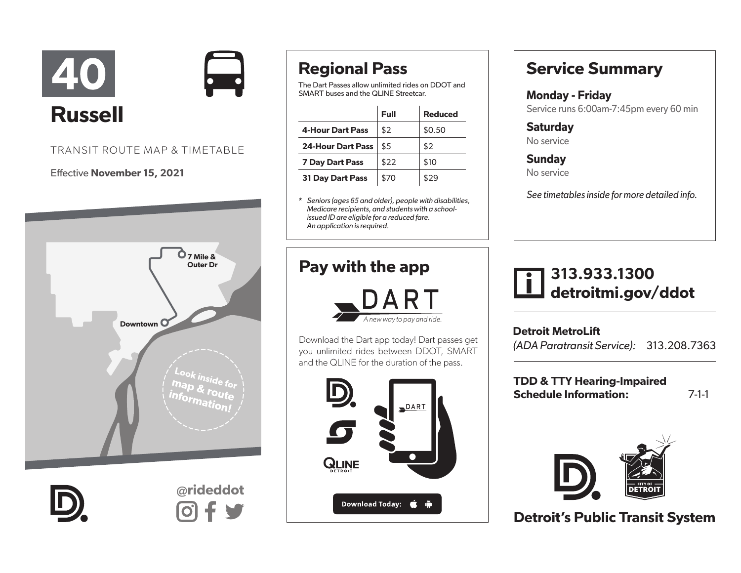



#### Effective November 15, 2021





@rideddot

# Regional Pass

The Dart Passes allow unlimited rides on DDOT and SMART buses and the QLINE Streetcar.

|                          | Full | <b>Reduced</b> |
|--------------------------|------|----------------|
| <b>4-Hour Dart Pass</b>  | \$2  | \$0.50         |
| <b>24-Hour Dart Pass</b> | \$5  | \$2            |
| <b>7 Day Dart Pass</b>   | \$22 | \$10           |
| <b>31 Day Dart Pass</b>  | \$70 | \$29           |

\* *Seniors (ages 65 and older), people with disabilities, Medicare recipients, and students with a schoolissued ID are eligible for a reduced fare. An application is required.* 

### Pay with the app



Download the Dart app today! Dart passes get you unlimited rides between DDOT, SMART and the QLINE for the duration of the pass.



### Service Summary

Monday - Friday Service runs 6:00am-7:45pm every 60 min

**Saturday** No service

**Sunday** No service

*See timetables inside for more detailed info.*

## 313.933.1300 detroitmi.gov/ddot

Detroit MetroLift *(ADA Paratransit Service):* 313.208.7363

TDD & TTY Hearing-Impaired Schedule Information: 7-1-1



Detroit's Public Transit System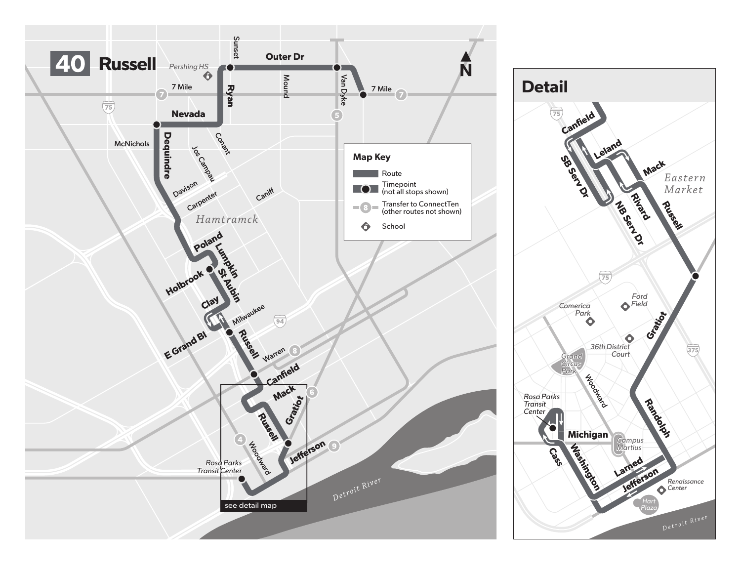